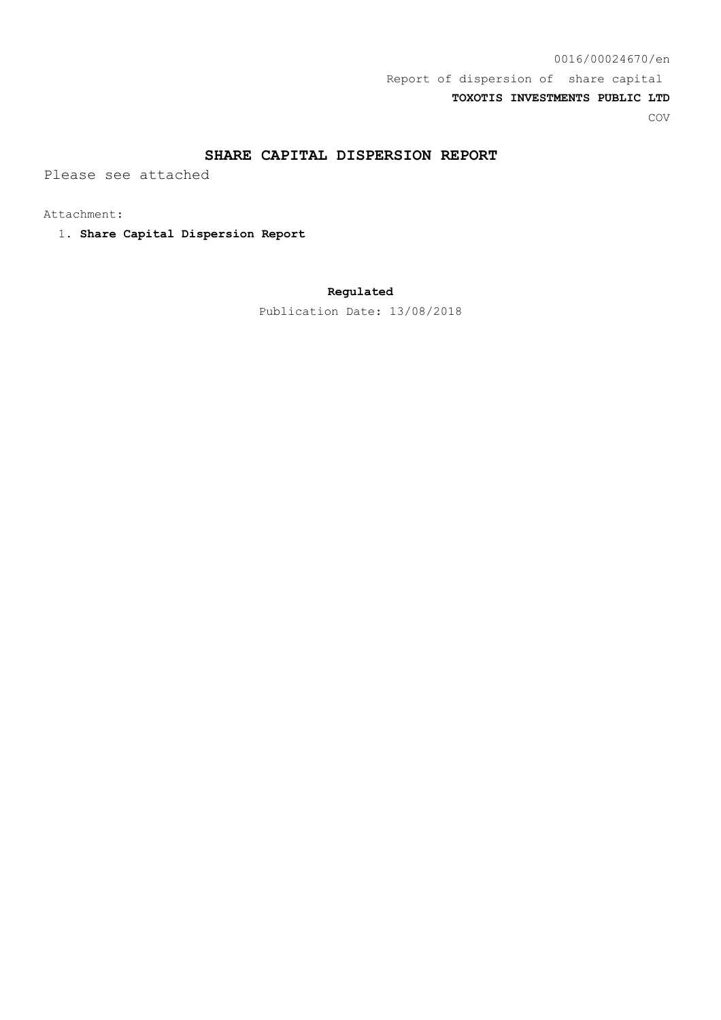## **SHARE CAPITAL DISPERSION REPORT**

Please see attached

Attachment:

1. **Share Capital Dispersion Report**

## **Regulated**

Publication Date: 13/08/2018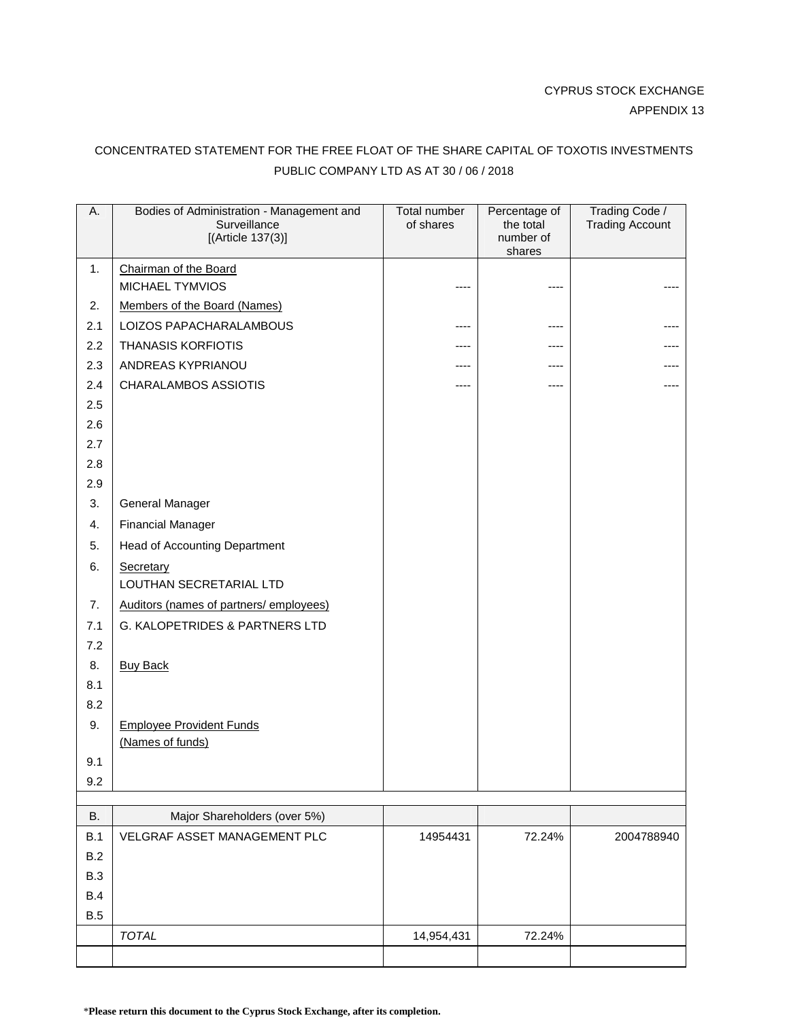## CONCENTRATED STATEMENT FOR THE FREE FLOAT OF THE SHARE CAPITAL OF TOXOTIS INVESTMENTS PUBLIC COMPANY LTD AS AT 30 / 06 / 2018

| Α.  | Bodies of Administration - Management and<br>Surveillance<br>[(Article $137(3)$ ] | Total number<br>of shares | Percentage of<br>the total<br>number of | Trading Code /<br><b>Trading Account</b> |
|-----|-----------------------------------------------------------------------------------|---------------------------|-----------------------------------------|------------------------------------------|
|     |                                                                                   |                           | shares                                  |                                          |
| 1.  | Chairman of the Board<br><b>MICHAEL TYMVIOS</b>                                   |                           |                                         |                                          |
| 2.  | Members of the Board (Names)                                                      |                           |                                         |                                          |
| 2.1 | LOIZOS PAPACHARALAMBOUS                                                           | ----                      |                                         |                                          |
| 2.2 | <b>THANASIS KORFIOTIS</b>                                                         | ----                      | ----                                    |                                          |
| 2.3 | ANDREAS KYPRIANOU                                                                 | ----                      | ----                                    |                                          |
| 2.4 | <b>CHARALAMBOS ASSIOTIS</b>                                                       | ----                      | ----                                    |                                          |
| 2.5 |                                                                                   |                           |                                         |                                          |
| 2.6 |                                                                                   |                           |                                         |                                          |
| 2.7 |                                                                                   |                           |                                         |                                          |
| 2.8 |                                                                                   |                           |                                         |                                          |
| 2.9 |                                                                                   |                           |                                         |                                          |
| 3.  | General Manager                                                                   |                           |                                         |                                          |
| 4.  | <b>Financial Manager</b>                                                          |                           |                                         |                                          |
| 5.  | <b>Head of Accounting Department</b>                                              |                           |                                         |                                          |
| 6.  | Secretary                                                                         |                           |                                         |                                          |
|     | LOUTHAN SECRETARIAL LTD                                                           |                           |                                         |                                          |
| 7.  | Auditors (names of partners/employees)                                            |                           |                                         |                                          |
| 7.1 | G. KALOPETRIDES & PARTNERS LTD                                                    |                           |                                         |                                          |
| 7.2 |                                                                                   |                           |                                         |                                          |
| 8.  | <b>Buy Back</b>                                                                   |                           |                                         |                                          |
| 8.1 |                                                                                   |                           |                                         |                                          |
| 8.2 |                                                                                   |                           |                                         |                                          |
| 9.  | <b>Employee Provident Funds</b>                                                   |                           |                                         |                                          |
|     | (Names of funds)                                                                  |                           |                                         |                                          |
| 9.1 |                                                                                   |                           |                                         |                                          |
| 9.2 |                                                                                   |                           |                                         |                                          |
| В.  | Major Shareholders (over 5%)                                                      |                           |                                         |                                          |

| В.         | Major Shareholders (over 5%)        |            |        |            |
|------------|-------------------------------------|------------|--------|------------|
| <b>B.1</b> | <b>VELGRAF ASSET MANAGEMENT PLC</b> | 14954431   | 72.24% | 2004788940 |
| B.2        |                                     |            |        |            |
| <b>B.3</b> |                                     |            |        |            |
| B.4        |                                     |            |        |            |
| <b>B.5</b> |                                     |            |        |            |
|            | <b>TOTAL</b>                        | 14,954,431 | 72.24% |            |
|            |                                     |            |        |            |